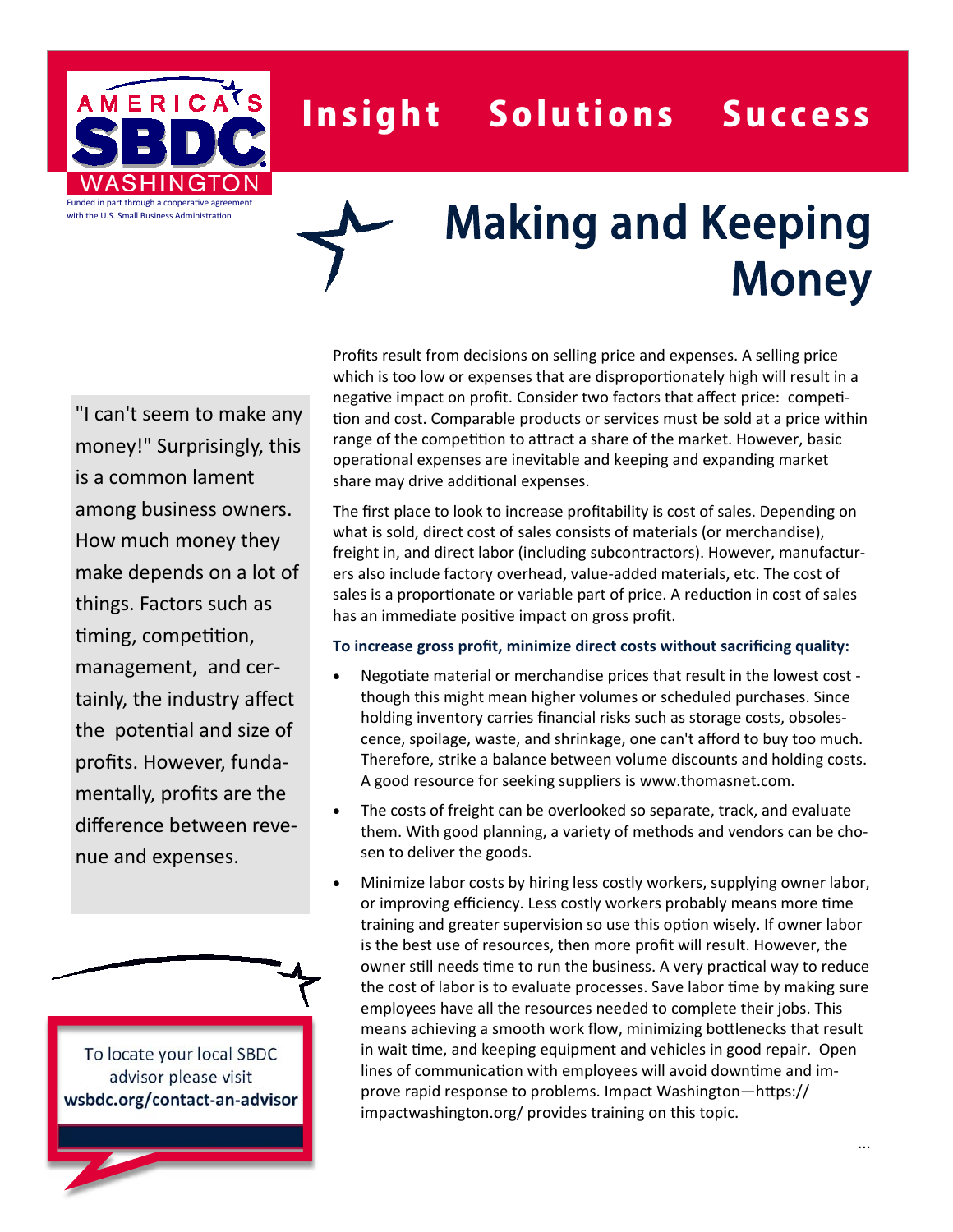

## Insight Solutions Success

# Making and Keeping Money

"I can't seem to make any money!" Surprisingly, this is a common lament among business owners. How much money they make depends on a lot of things. Factors such as timing, competition, management, and certainly, the industry affect the potential and size of profits. However, fundamentally, profits are the difference between revenue and expenses.

To locate your local SBDC advisor please visit **wsbdc.org/contact‐an‐advisor** Profits result from decisions on selling price and expenses. A selling price which is too low or expenses that are disproportionately high will result in a negative impact on profit. Consider two factors that affect price: competition and cost. Comparable products or services must be sold at a price within range of the competition to attract a share of the market. However, basic operational expenses are inevitable and keeping and expanding market share may drive additional expenses.

The first place to look to increase profitability is cost of sales. Depending on what is sold, direct cost of sales consists of materials (or merchandise), freight in, and direct labor (including subcontractors). However, manufacturers also include factory overhead, value-added materials, etc. The cost of sales is a proportionate or variable part of price. A reduction in cost of sales has an immediate positive impact on gross profit.

#### **To increase gross profit, minimize direct costs without sacrificing quality:**

- Negotiate material or merchandise prices that result in the lowest cost though this might mean higher volumes or scheduled purchases. Since holding inventory carries financial risks such as storage costs, obsolescence, spoilage, waste, and shrinkage, one can't afford to buy too much. Therefore, strike a balance between volume discounts and holding costs. A good resource for seeking suppliers is www.thomasnet.com.
- The costs of freight can be overlooked so separate, track, and evaluate them. With good planning, a variety of methods and vendors can be chosen to deliver the goods.
- Minimize labor costs by hiring less costly workers, supplying owner labor, or improving efficiency. Less costly workers probably means more time training and greater supervision so use this option wisely. If owner labor is the best use of resources, then more profit will result. However, the owner still needs time to run the business. A very practical way to reduce the cost of labor is to evaluate processes. Save labor time by making sure employees have all the resources needed to complete their jobs. This means achieving a smooth work flow, minimizing bottlenecks that result in wait time, and keeping equipment and vehicles in good repair. Open lines of communication with employees will avoid downtime and improve rapid response to problems. Impact Washington-https:// impactwashington.org/ provides training on this topic.